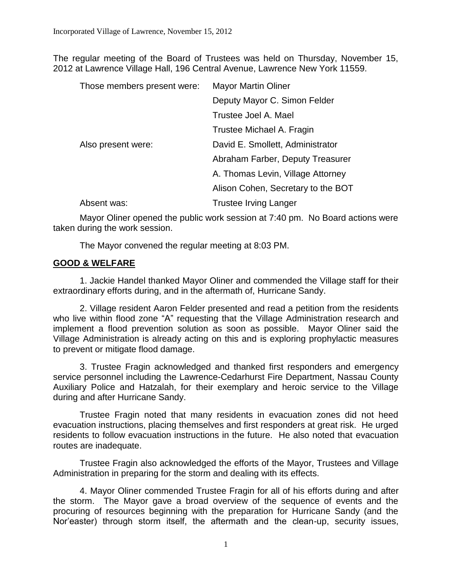The regular meeting of the Board of Trustees was held on Thursday, November 15, 2012 at Lawrence Village Hall, 196 Central Avenue, Lawrence New York 11559.

| Those members present were: | <b>Mayor Martin Oliner</b>         |
|-----------------------------|------------------------------------|
|                             | Deputy Mayor C. Simon Felder       |
|                             | Trustee Joel A. Mael               |
|                             | Trustee Michael A. Fragin          |
| Also present were:          | David E. Smollett, Administrator   |
|                             | Abraham Farber, Deputy Treasurer   |
|                             | A. Thomas Levin, Village Attorney  |
|                             | Alison Cohen, Secretary to the BOT |
| Absent was:                 | <b>Trustee Irving Langer</b>       |

Mayor Oliner opened the public work session at 7:40 pm. No Board actions were taken during the work session.

The Mayor convened the regular meeting at 8:03 PM.

# **GOOD & WELFARE**

1. Jackie Handel thanked Mayor Oliner and commended the Village staff for their extraordinary efforts during, and in the aftermath of, Hurricane Sandy.

2. Village resident Aaron Felder presented and read a petition from the residents who live within flood zone "A" requesting that the Village Administration research and implement a flood prevention solution as soon as possible. Mayor Oliner said the Village Administration is already acting on this and is exploring prophylactic measures to prevent or mitigate flood damage.

3. Trustee Fragin acknowledged and thanked first responders and emergency service personnel including the Lawrence-Cedarhurst Fire Department, Nassau County Auxiliary Police and Hatzalah, for their exemplary and heroic service to the Village during and after Hurricane Sandy.

Trustee Fragin noted that many residents in evacuation zones did not heed evacuation instructions, placing themselves and first responders at great risk. He urged residents to follow evacuation instructions in the future. He also noted that evacuation routes are inadequate.

Trustee Fragin also acknowledged the efforts of the Mayor, Trustees and Village Administration in preparing for the storm and dealing with its effects.

4. Mayor Oliner commended Trustee Fragin for all of his efforts during and after the storm. The Mayor gave a broad overview of the sequence of events and the procuring of resources beginning with the preparation for Hurricane Sandy (and the Nor'easter) through storm itself, the aftermath and the clean-up, security issues,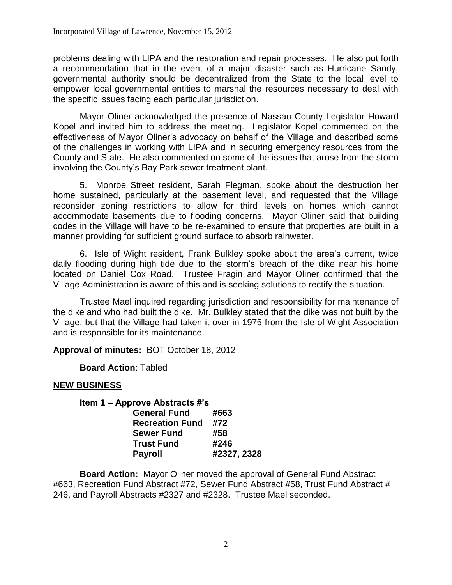problems dealing with LIPA and the restoration and repair processes. He also put forth a recommendation that in the event of a major disaster such as Hurricane Sandy, governmental authority should be decentralized from the State to the local level to empower local governmental entities to marshal the resources necessary to deal with the specific issues facing each particular jurisdiction.

Mayor Oliner acknowledged the presence of Nassau County Legislator Howard Kopel and invited him to address the meeting. Legislator Kopel commented on the effectiveness of Mayor Oliner's advocacy on behalf of the Village and described some of the challenges in working with LIPA and in securing emergency resources from the County and State. He also commented on some of the issues that arose from the storm involving the County's Bay Park sewer treatment plant.

5. Monroe Street resident, Sarah Flegman, spoke about the destruction her home sustained, particularly at the basement level, and requested that the Village reconsider zoning restrictions to allow for third levels on homes which cannot accommodate basements due to flooding concerns. Mayor Oliner said that building codes in the Village will have to be re-examined to ensure that properties are built in a manner providing for sufficient ground surface to absorb rainwater.

6. Isle of Wight resident, Frank Bulkley spoke about the area's current, twice daily flooding during high tide due to the storm's breach of the dike near his home located on Daniel Cox Road. Trustee Fragin and Mayor Oliner confirmed that the Village Administration is aware of this and is seeking solutions to rectify the situation.

Trustee Mael inquired regarding jurisdiction and responsibility for maintenance of the dike and who had built the dike. Mr. Bulkley stated that the dike was not built by the Village, but that the Village had taken it over in 1975 from the Isle of Wight Association and is responsible for its maintenance.

**Approval of minutes:** BOT October 18, 2012

**Board Action**: Tabled

## **NEW BUSINESS**

| Item 1 – Approve Abstracts #'s |             |
|--------------------------------|-------------|
| <b>General Fund</b>            | #663        |
| <b>Recreation Fund</b>         | #72         |
| <b>Sewer Fund</b>              | #58         |
| <b>Trust Fund</b>              | #246        |
| <b>Payroll</b>                 | #2327, 2328 |

**Board Action:** Mayor Oliner moved the approval of General Fund Abstract #663, Recreation Fund Abstract #72, Sewer Fund Abstract #58, Trust Fund Abstract # 246, and Payroll Abstracts #2327 and #2328. Trustee Mael seconded.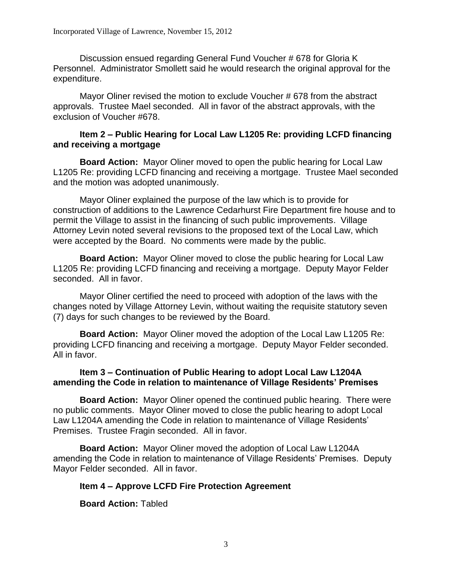Discussion ensued regarding General Fund Voucher # 678 for Gloria K Personnel. Administrator Smollett said he would research the original approval for the expenditure.

Mayor Oliner revised the motion to exclude Voucher # 678 from the abstract approvals. Trustee Mael seconded. All in favor of the abstract approvals, with the exclusion of Voucher #678.

## **Item 2 – Public Hearing for Local Law L1205 Re: providing LCFD financing and receiving a mortgage**

**Board Action:** Mayor Oliner moved to open the public hearing for Local Law L1205 Re: providing LCFD financing and receiving a mortgage. Trustee Mael seconded and the motion was adopted unanimously.

Mayor Oliner explained the purpose of the law which is to provide for construction of additions to the Lawrence Cedarhurst Fire Department fire house and to permit the Village to assist in the financing of such public improvements. Village Attorney Levin noted several revisions to the proposed text of the Local Law, which were accepted by the Board. No comments were made by the public.

**Board Action:** Mayor Oliner moved to close the public hearing for Local Law L1205 Re: providing LCFD financing and receiving a mortgage. Deputy Mayor Felder seconded. All in favor.

Mayor Oliner certified the need to proceed with adoption of the laws with the changes noted by Village Attorney Levin, without waiting the requisite statutory seven (7) days for such changes to be reviewed by the Board.

**Board Action:** Mayor Oliner moved the adoption of the Local Law L1205 Re: providing LCFD financing and receiving a mortgage. Deputy Mayor Felder seconded. All in favor.

# **Item 3 – Continuation of Public Hearing to adopt Local Law L1204A amending the Code in relation to maintenance of Village Residents' Premises**

**Board Action:** Mayor Oliner opened the continued public hearing. There were no public comments.Mayor Oliner moved to close the public hearing to adopt Local Law L1204A amending the Code in relation to maintenance of Village Residents' Premises. Trustee Fragin seconded. All in favor.

**Board Action:** Mayor Oliner moved the adoption of Local Law L1204A amending the Code in relation to maintenance of Village Residents' Premises. Deputy Mayor Felder seconded. All in favor.

# **Item 4 – Approve LCFD Fire Protection Agreement**

**Board Action:** Tabled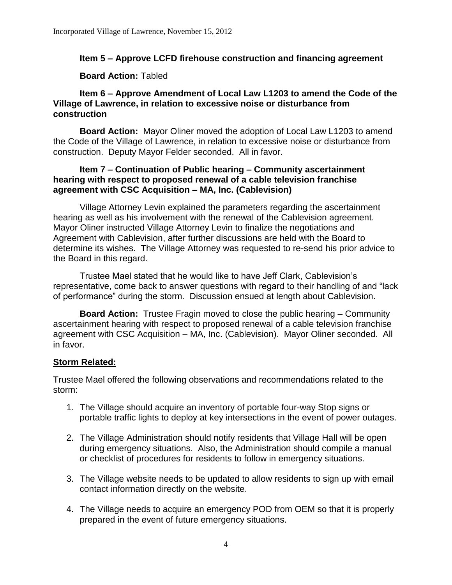# **Item 5 – Approve LCFD firehouse construction and financing agreement**

#### **Board Action:** Tabled

## **Item 6 – Approve Amendment of Local Law L1203 to amend the Code of the Village of Lawrence, in relation to excessive noise or disturbance from construction**

**Board Action:** Mayor Oliner moved the adoption of Local Law L1203 to amend the Code of the Village of Lawrence, in relation to excessive noise or disturbance from construction. Deputy Mayor Felder seconded. All in favor.

## **Item 7 – Continuation of Public hearing – Community ascertainment hearing with respect to proposed renewal of a cable television franchise agreement with CSC Acquisition – MA, Inc. (Cablevision)**

Village Attorney Levin explained the parameters regarding the ascertainment hearing as well as his involvement with the renewal of the Cablevision agreement. Mayor Oliner instructed Village Attorney Levin to finalize the negotiations and Agreement with Cablevision, after further discussions are held with the Board to determine its wishes. The Village Attorney was requested to re-send his prior advice to the Board in this regard.

Trustee Mael stated that he would like to have Jeff Clark, Cablevision's representative, come back to answer questions with regard to their handling of and "lack of performance" during the storm. Discussion ensued at length about Cablevision.

**Board Action:** Trustee Fragin moved to close the public hearing – Community ascertainment hearing with respect to proposed renewal of a cable television franchise agreement with CSC Acquisition – MA, Inc. (Cablevision). Mayor Oliner seconded. All in favor.

## **Storm Related:**

Trustee Mael offered the following observations and recommendations related to the storm:

- 1. The Village should acquire an inventory of portable four-way Stop signs or portable traffic lights to deploy at key intersections in the event of power outages.
- 2. The Village Administration should notify residents that Village Hall will be open during emergency situations. Also, the Administration should compile a manual or checklist of procedures for residents to follow in emergency situations.
- 3. The Village website needs to be updated to allow residents to sign up with email contact information directly on the website.
- 4. The Village needs to acquire an emergency POD from OEM so that it is properly prepared in the event of future emergency situations.